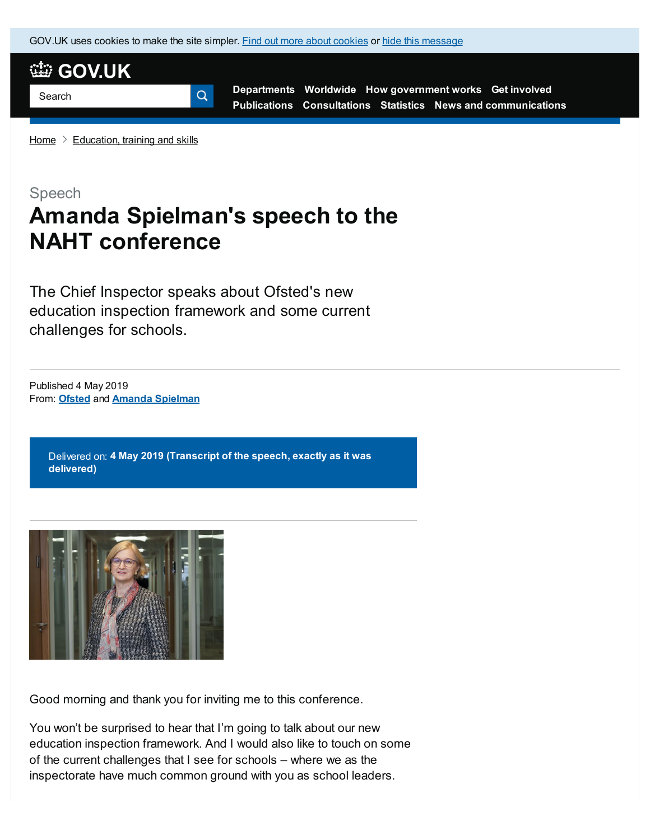GOV.UK uses [cookies](https://www.gov.uk/help/cookies) to make the site simpler. Find out more about cookies or hide this message



**[Departments](https://www.gov.uk/government/organisations) [Worldwide](https://www.gov.uk/government/world) How [government](https://www.gov.uk/government/how-government-works) works Get [involved](https://www.gov.uk/government/get-involved) [Publications](https://www.gov.uk/government/publications) [Consultations](https://www.gov.uk/search/policy-papers-and-consultations?content_store_document_type%5B%5D=open_consultations&content_store_document_type%5B%5D=closed_consultations) [Statistics](https://www.gov.uk/government/statistics) News and [communications](https://www.gov.uk/news-and-communications)**

[Home](https://www.gov.uk/)  $\geq$  [Education,](https://www.gov.uk/education) training and skills

### Speech

# **Amanda Spielman's speech to the NAHT conference**

The Chief Inspector speaks about Ofsted's new education inspection framework and some current challenges for schools.

From: **[Ofsted](https://www.gov.uk/government/organisations/ofsted)** and **Amanda [Spielman](https://www.gov.uk/government/people/amanda-spiel-man)** Published 4 May 2019

> Delivered on: **4 May 2019 (Transcript of the speech, exactly as it was delivered)**



Good morning and thank you for inviting me to this conference.

You won't be surprised to hear that I'm going to talk about our new education inspection framework. And I would also like to touch on some of the current challenges that I see for schools – where we as the inspectorate have much common ground with you as school leaders.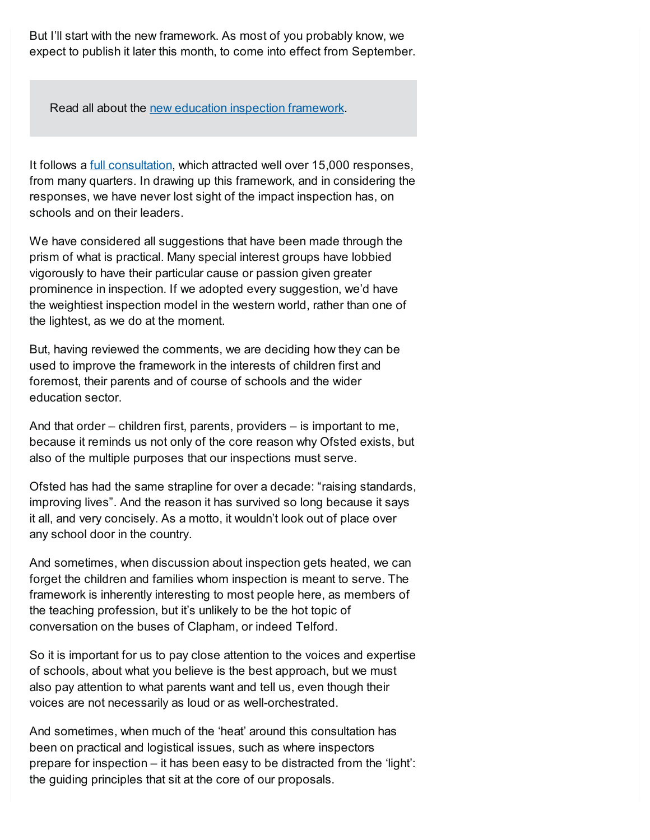But I'll start with the new framework. As most of you probably know, we expect to publish it later this month, to come into effect from September.

Read all about the new education inspection [framework](https://www.gov.uk/government/collections/education-inspection-framework).

It follows a **full [consultation](https://www.gov.uk/government/consultations/education-inspection-framework-2019-inspecting-the-substance-of-education)**, which attracted well over 15,000 responses, from many quarters. In drawing up this framework, and in considering the responses, we have never lost sight of the impact inspection has, on schools and on their leaders.

We have considered all suggestions that have been made through the prism of what is practical. Many special interest groups have lobbied vigorously to have their particular cause or passion given greater prominence in inspection. If we adopted every suggestion, we'd have the weightiest inspection model in the western world, rather than one of the lightest, as we do at the moment.

But, having reviewed the comments, we are deciding how they can be used to improve the framework in the interests of children first and foremost, their parents and of course of schools and the wider education sector.

And that order – children first, parents, providers – is important to me, because it reminds us not only of the core reason why Ofsted exists, but also of the multiple purposes that our inspections must serve.

Ofsted has had the same strapline for over a decade: "raising standards, improving lives". And the reason it has survived so long because it says it all, and very concisely. As a motto, it wouldn't look out of place over any school door in the country.

And sometimes, when discussion about inspection gets heated, we can forget the children and families whom inspection is meant to serve. The framework is inherently interesting to most people here, as members of the teaching profession, but it's unlikely to be the hot topic of conversation on the buses of Clapham, or indeed Telford.

So it is important for us to pay close attention to the voices and expertise of schools, about what you believe is the best approach, but we must also pay attention to what parents want and tell us, even though their voices are not necessarily as loud or as well-orchestrated.

And sometimes, when much of the 'heat' around this consultation has been on practical and logistical issues, such as where inspectors prepare for inspection – it has been easy to be distracted from the 'light': the guiding principles that sit at the core of our proposals.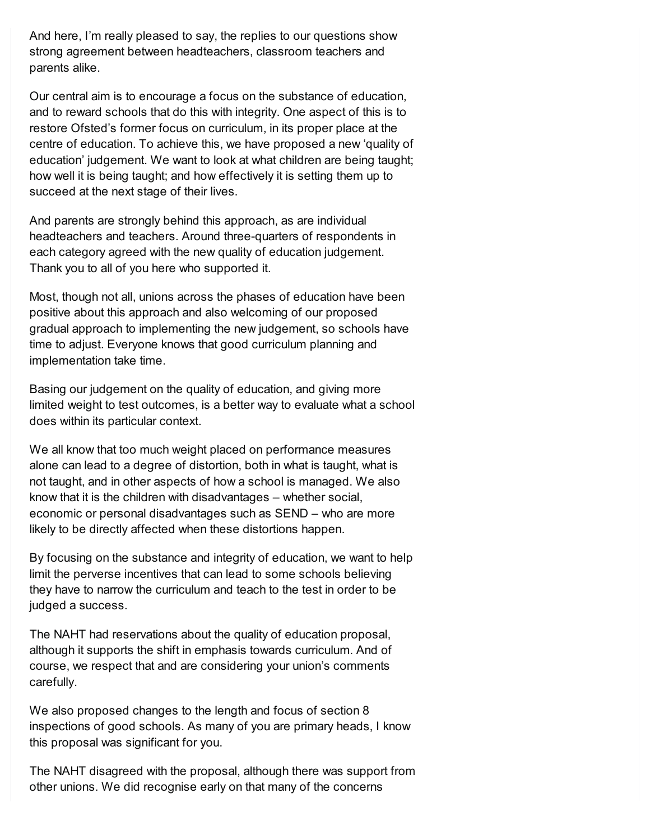And here, I'm really pleased to say, the replies to our questions show strong agreement between headteachers, classroom teachers and parents alike.

Our central aim is to encourage a focus on the substance of education, and to reward schools that do this with integrity. One aspect of this is to restore Ofsted's former focus on curriculum, in its proper place at the centre of education. To achieve this, we have proposed a new 'quality of education' judgement. We want to look at what children are being taught; how well it is being taught; and how effectively it is setting them up to succeed at the next stage of their lives.

And parents are strongly behind this approach, as are individual headteachers and teachers. Around three-quarters of respondents in each category agreed with the new quality of education judgement. Thank you to all of you here who supported it.

Most, though not all, unions across the phases of education have been positive about this approach and also welcoming of our proposed gradual approach to implementing the new judgement, so schools have time to adjust. Everyone knows that good curriculum planning and implementation take time.

Basing our judgement on the quality of education, and giving more limited weight to test outcomes, is a better way to evaluate what a school does within its particular context.

We all know that too much weight placed on performance measures alone can lead to a degree of distortion, both in what is taught, what is not taught, and in other aspects of how a school is managed. We also know that it is the children with disadvantages – whether social, economic or personal disadvantages such as SEND – who are more likely to be directly affected when these distortions happen.

By focusing on the substance and integrity of education, we want to help limit the perverse incentives that can lead to some schools believing they have to narrow the curriculum and teach to the test in order to be judged a success.

The NAHT had reservations about the quality of education proposal, although it supports the shift in emphasis towards curriculum. And of course, we respect that and are considering your union's comments carefully.

We also proposed changes to the length and focus of section 8 inspections of good schools. As many of you are primary heads, I know this proposal was significant for you.

The NAHT disagreed with the proposal, although there was support from other unions. We did recognise early on that many of the concerns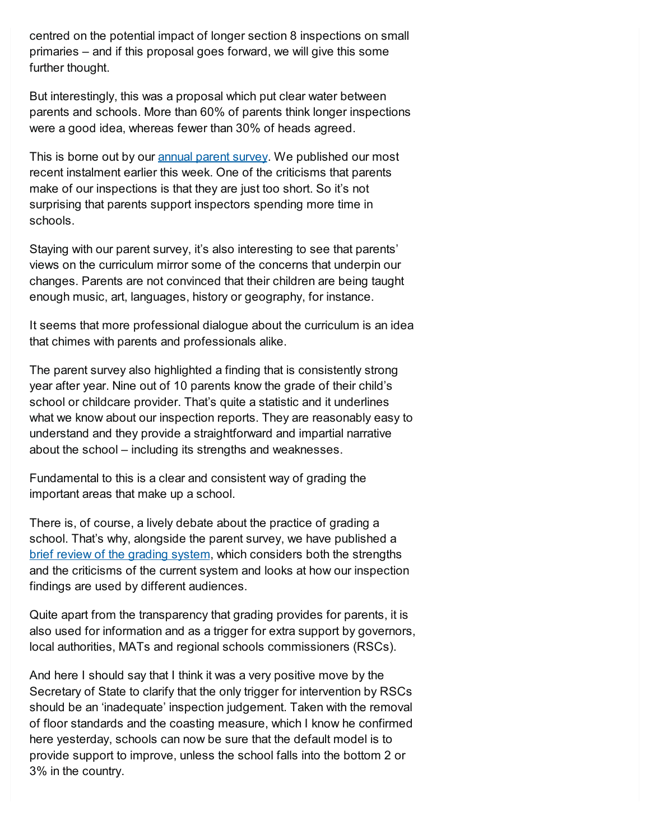centred on the potential impact of longer section 8 inspections on small primaries – and if this proposal goes forward, we will give this some further thought.

But interestingly, this was a proposal which put clear water between parents and schools. More than 60% of parents think longer inspections were a good idea, whereas fewer than 30% of heads agreed.

This is borne out by our [annual](https://www.gov.uk/government/publications/annual-parents-survey) parent survey. We published our most recent instalment earlier this week. One of the criticisms that parents make of our inspections is that they are just too short. So it's not surprising that parents support inspectors spending more time in schools.

Staying with our parent survey, it's also interesting to see that parents' views on the curriculum mirror some of the concerns that underpin our changes. Parents are not convinced that their children are being taught enough music, art, languages, history or geography, for instance.

It seems that more professional dialogue about the curriculum is an idea that chimes with parents and professionals alike.

The parent survey also highlighted a finding that is consistently strong year after year. Nine out of 10 parents know the grade of their child's school or childcare provider. That's quite a statistic and it underlines what we know about our inspection reports. They are reasonably easy to understand and they provide a straightforward and impartial narrative about the school – including its strengths and weaknesses.

Fundamental to this is a clear and consistent way of grading the important areas that make up a school.

There is, of course, a lively debate about the practice of grading a school. That's why, alongside the parent survey, we have published a brief review of the [grading](https://www.gov.uk/government/publications/retaining-ofsteds-current-grading-system-in-education) system, which considers both the strengths and the criticisms of the current system and looks at how our inspection findings are used by different audiences.

Quite apart from the transparency that grading provides for parents, it is also used for information and as a trigger for extra support by governors, local authorities, MATs and regional schools commissioners (RSCs).

And here I should say that I think it was a very positive move by the Secretary of State to clarify that the only trigger for intervention by RSCs should be an 'inadequate' inspection judgement. Taken with the removal of floor standards and the coasting measure, which I know he confirmed here yesterday, schools can now be sure that the default model is to provide support to improve, unless the school falls into the bottom 2 or 3% in the country.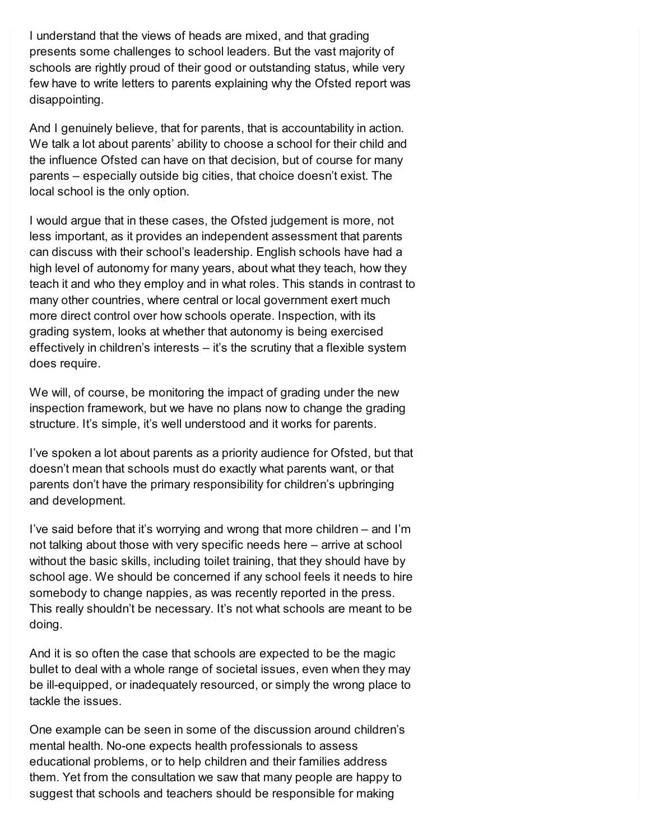I understand that the views of heads are mixed, and that grading presents some challenges to school leaders. But the vast majority of schools are rightly proud of their good or outstanding status, while very few have to write letters to parents explaining why the Ofsted report was disappointing.

And I genuinely believe, that for parents, that is accountability in action. We talk a lot about parents' ability to choose a school for their child and the influence Ofsted can have on that decision, but of course for many parents – especially outside big cities, that choice doesn't exist. The local school is the only option.

I would argue that in these cases, the Ofsted judgement is more, not less important, as it provides an independent assessment that parents can discuss with their school's leadership. English schools have had a high level of autonomy for many years, about what they teach, how they teach it and who they employ and in what roles. This stands in contrast to many other countries, where central or local government exert much more direct control over how schools operate. Inspection, with its grading system, looks at whether that autonomy is being exercised effectively in children's interests – it's the scrutiny that a flexible system does require.

We will, of course, be monitoring the impact of grading under the new inspection framework, but we have no plans now to change the grading structure. It's simple, it's well understood and it works for parents.

I've spoken a lot about parents as a priority audience for Ofsted, but that doesn't mean that schools must do exactly what parents want, or that parents don't have the primary responsibility for children's upbringing and development.

I've said before that it's worrying and wrong that more children – and I'm not talking about those with very specific needs here – arrive at school without the basic skills, including toilet training, that they should have by school age. We should be concerned if any school feels it needs to hire somebody to change nappies, as was recently reported in the press. This really shouldn't be necessary. It's not what schools are meant to be doing.

And it is so often the case that schools are expected to be the magic bullet to deal with a whole range of societal issues, even when they may be ill-equipped, or inadequately resourced, or simply the wrong place to tackle the issues.

One example can be seen in some of the discussion around children's mental health. No-one expects health professionals to assess educational problems, or to help children and their families address them. Yet from the consultation we saw that many people are happy to suggest that schools and teachers should be responsible for making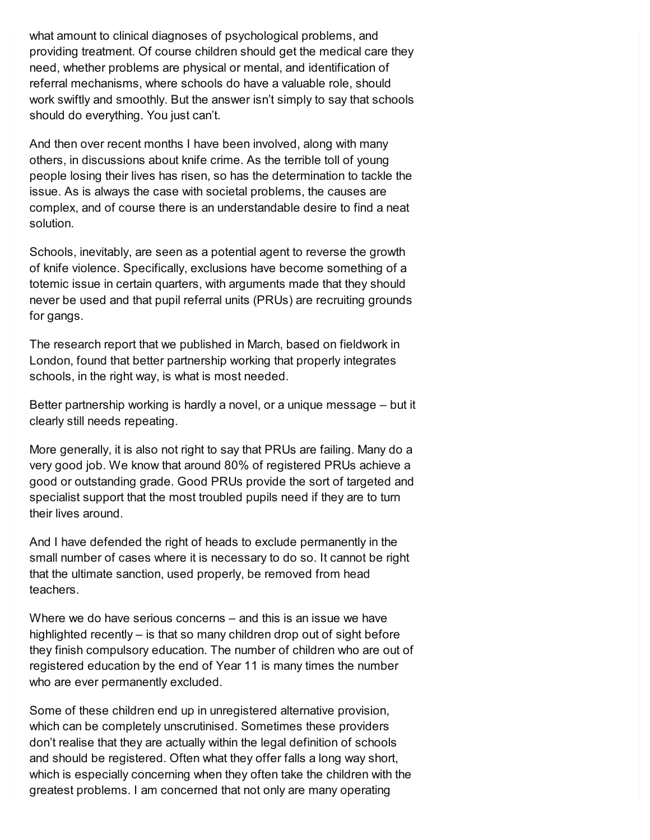what amount to clinical diagnoses of psychological problems, and providing treatment. Of course children should get the medical care they need, whether problems are physical or mental, and identification of referral mechanisms, where schools do have a valuable role, should work swiftly and smoothly. But the answer isn't simply to say that schools should do everything. You just can't.

And then over recent months I have been involved, along with many others, in discussions about knife crime. As the terrible toll of young people losing their lives has risen, so has the determination to tackle the issue. As is always the case with societal problems, the causes are complex, and of course there is an understandable desire to find a neat solution.

Schools, inevitably, are seen as a potential agent to reverse the growth of knife violence. Specifically, exclusions have become something of a totemic issue in certain quarters, with arguments made that they should never be used and that pupil referral units (PRUs) are recruiting grounds for gangs.

The research report that we published in March, based on fieldwork in London, found that better partnership working that properly integrates schools, in the right way, is what is most needed.

Better partnership working is hardly a novel, or a unique message – but it clearly still needs repeating.

More generally, it is also not right to say that PRUs are failing. Many do a very good job. We know that around 80% of registered PRUs achieve a good or outstanding grade. Good PRUs provide the sort of targeted and specialist support that the most troubled pupils need if they are to turn their lives around.

And I have defended the right of heads to exclude permanently in the small number of cases where it is necessary to do so. It cannot be right that the ultimate sanction, used properly, be removed from head teachers.

Where we do have serious concerns – and this is an issue we have highlighted recently – is that so many children drop out of sight before they finish compulsory education. The number of children who are out of registered education by the end of Year 11 is many times the number who are ever permanently excluded.

Some of these children end up in unregistered alternative provision, which can be completely unscrutinised. Sometimes these providers don't realise that they are actually within the legal definition of schools and should be registered. Often what they offer falls a long way short, which is especially concerning when they often take the children with the greatest problems. I am concerned that not only are many operating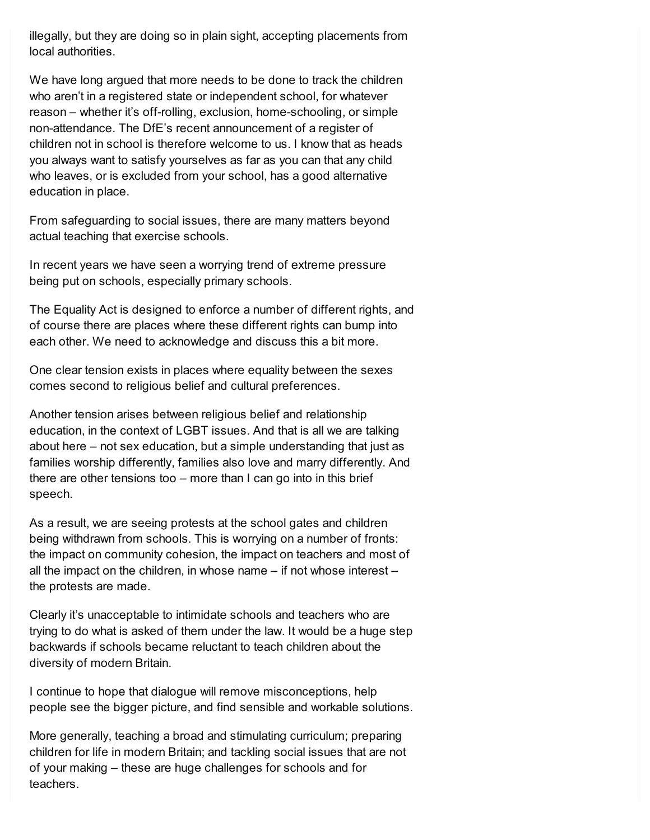illegally, but they are doing so in plain sight, accepting placements from local authorities.

We have long argued that more needs to be done to track the children who aren't in a registered state or independent school, for whatever reason – whether it's off-rolling, exclusion, home-schooling, or simple non-attendance. The DfE's recent announcement of a register of children not in school is therefore welcome to us. I know that as heads you always want to satisfy yourselves as far as you can that any child who leaves, or is excluded from your school, has a good alternative education in place.

From safeguarding to social issues, there are many matters beyond actual teaching that exercise schools.

In recent years we have seen a worrying trend of extreme pressure being put on schools, especially primary schools.

The Equality Act is designed to enforce a number of different rights, and of course there are places where these different rights can bump into each other. We need to acknowledge and discuss this a bit more.

One clear tension exists in places where equality between the sexes comes second to religious belief and cultural preferences.

Another tension arises between religious belief and relationship education, in the context of LGBT issues. And that is all we are talking about here – not sex education, but a simple understanding that just as families worship differently, families also love and marry differently. And there are other tensions too – more than I can go into in this brief speech.

As a result, we are seeing protests at the school gates and children being withdrawn from schools. This is worrying on a number of fronts: the impact on community cohesion, the impact on teachers and most of all the impact on the children, in whose name – if not whose interest – the protests are made.

Clearly it's unacceptable to intimidate schools and teachers who are trying to do what is asked of them under the law. It would be a huge step backwards if schools became reluctant to teach children about the diversity of modern Britain.

I continue to hope that dialogue will remove misconceptions, help people see the bigger picture, and find sensible and workable solutions.

More generally, teaching a broad and stimulating curriculum; preparing children for life in modern Britain; and tackling social issues that are not of your making – these are huge challenges for schools and for teachers.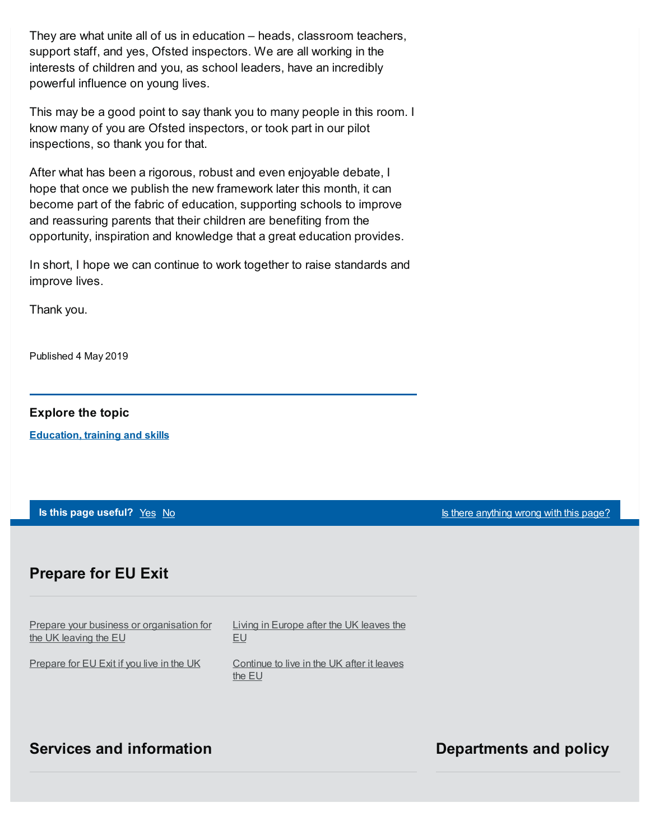They are what unite all of us in education – heads, classroom teachers, support staff, and yes, Ofsted inspectors. We are all working in the interests of children and you, as school leaders, have an incredibly powerful influence on young lives.

This may be a good point to say thank you to many people in this room. I know many of you are Ofsted inspectors, or took part in our pilot inspections, so thank you for that.

After what has been a rigorous, robust and even enjoyable debate, I hope that once we publish the new framework later this month, it can become part of the fabric of education, supporting schools to improve and reassuring parents that their children are benefiting from the opportunity, inspiration and knowledge that a great education provides.

In short, I hope we can continue to work together to raise standards and improve lives.

Thank you.

Published 4 May 2019

#### **Explore the topic**

**[Education,](https://www.gov.uk/education) training and skills**

**Is this page useful?** [Yes](https://www.gov.uk/contact/govuk) [No](https://www.gov.uk/contact/govuk) Is the Magnetic Control of the Magnetic Second Library is the *[anything](https://www.gov.uk/contact/govuk) wrong with this page?* 

## **Prepare for EU Exit**

Prepare your business or [organisation](https://www.gov.uk/business-uk-leaving-eu) for the UK leaving the EU

[Prepare](https://www.gov.uk/prepare-eu-exit) for EU Exit if you live in the UK

Living in [Europe](https://www.gov.uk/uk-nationals-living-eu) after the UK leaves the EU

[Continue](https://www.gov.uk/staying-uk-eu-citizen) to live in the UK after it leaves the EU

## **Services and information Departments and policy**